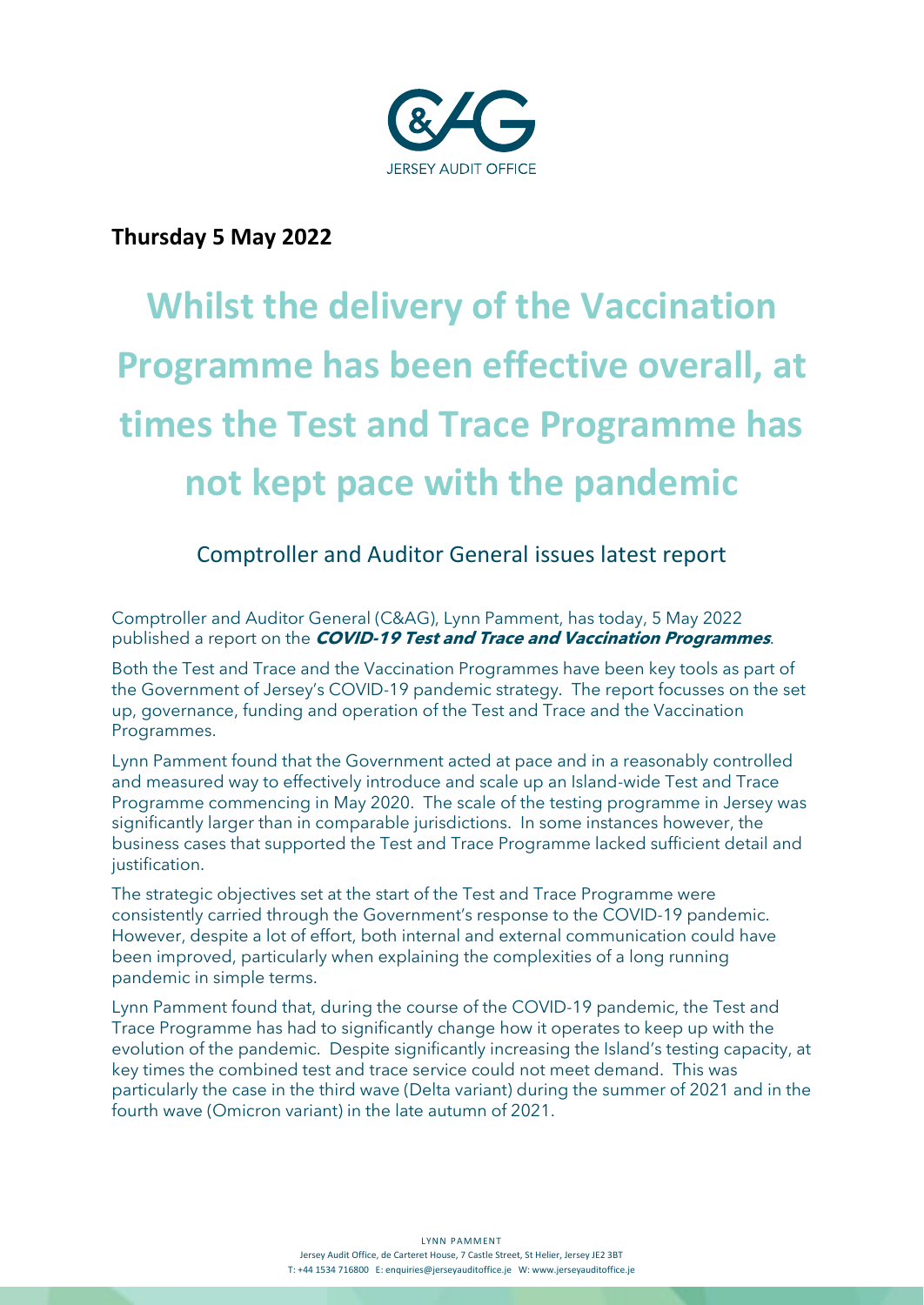

## **Thursday 5 May 2022**

# **Whilst the delivery of the Vaccination Programme has been effective overall, at times the Test and Trace Programme has not kept pace with the pandemic**

# Comptroller and Auditor General issues latest report

Comptroller and Auditor General (C&AG), Lynn Pamment, has today, 5 May 2022 published a report on the **COVID-19 Test and Trace and Vaccination Programmes**.

Both the Test and Trace and the Vaccination Programmes have been key tools as part of the Government of Jersey's COVID-19 pandemic strategy. The report focusses on the set up, governance, funding and operation of the Test and Trace and the Vaccination Programmes.

Lynn Pamment found that the Government acted at pace and in a reasonably controlled and measured way to effectively introduce and scale up an Island-wide Test and Trace Programme commencing in May 2020. The scale of the testing programme in Jersey was significantly larger than in comparable jurisdictions. In some instances however, the business cases that supported the Test and Trace Programme lacked sufficient detail and justification.

The strategic objectives set at the start of the Test and Trace Programme were consistently carried through the Government's response to the COVID-19 pandemic. However, despite a lot of effort, both internal and external communication could have been improved, particularly when explaining the complexities of a long running pandemic in simple terms.

Lynn Pamment found that, during the course of the COVID-19 pandemic, the Test and Trace Programme has had to significantly change how it operates to keep up with the evolution of the pandemic. Despite significantly increasing the Island's testing capacity, at key times the combined test and trace service could not meet demand. This was particularly the case in the third wave (Delta variant) during the summer of 2021 and in the fourth wave (Omicron variant) in the late autumn of 2021.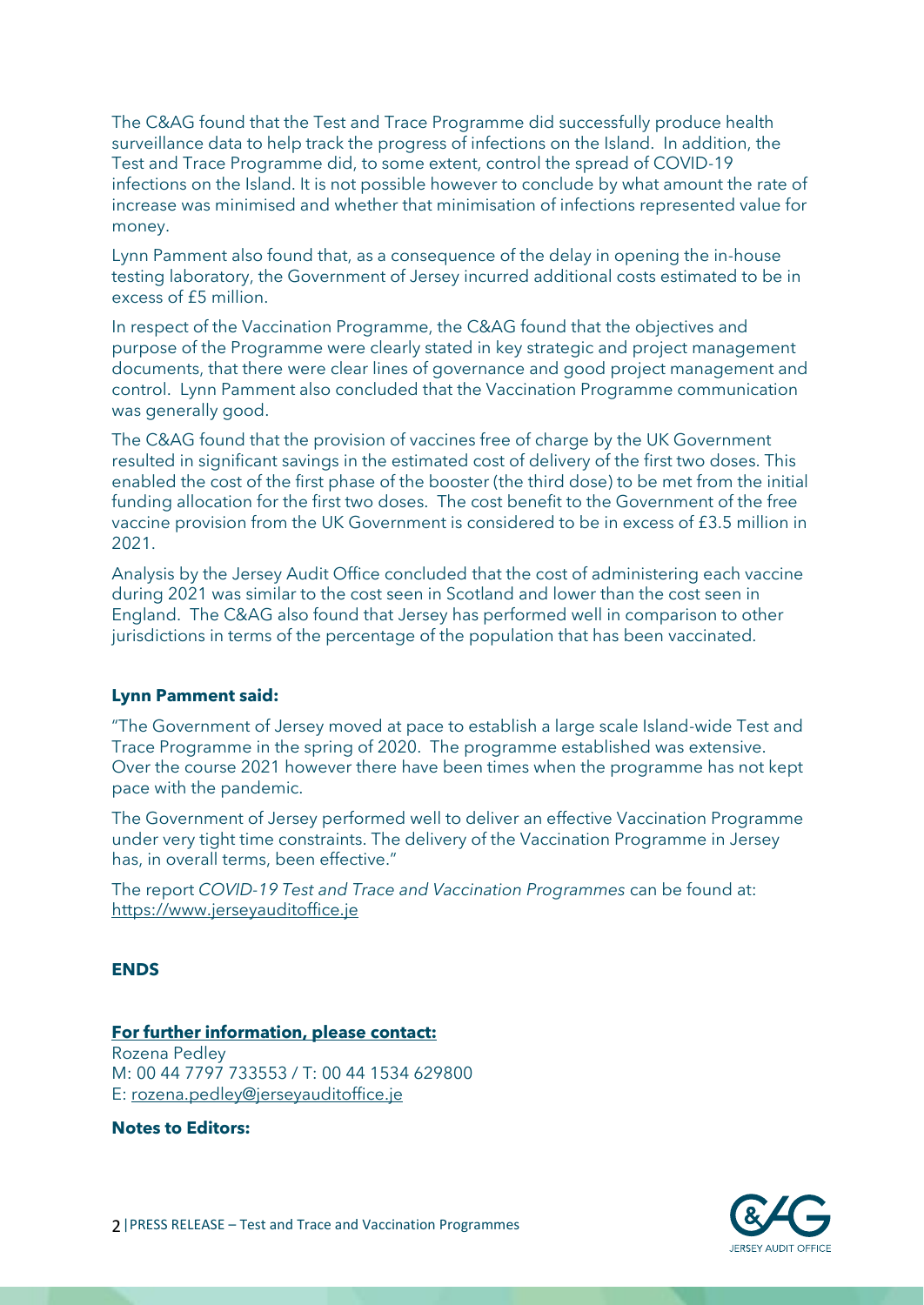The C&AG found that the Test and Trace Programme did successfully produce health surveillance data to help track the progress of infections on the Island. In addition, the Test and Trace Programme did, to some extent, control the spread of COVID-19 infections on the Island. It is not possible however to conclude by what amount the rate of increase was minimised and whether that minimisation of infections represented value for money.

Lynn Pamment also found that, as a consequence of the delay in opening the in-house testing laboratory, the Government of Jersey incurred additional costs estimated to be in excess of £5 million.

In respect of the Vaccination Programme, the C&AG found that the objectives and purpose of the Programme were clearly stated in key strategic and project management documents, that there were clear lines of governance and good project management and control. Lynn Pamment also concluded that the Vaccination Programme communication was generally good.

The C&AG found that the provision of vaccines free of charge by the UK Government resulted in significant savings in the estimated cost of delivery of the first two doses. This enabled the cost of the first phase of the booster (the third dose) to be met from the initial funding allocation for the first two doses. The cost benefit to the Government of the free vaccine provision from the UK Government is considered to be in excess of £3.5 million in 2021.

Analysis by the Jersey Audit Office concluded that the cost of administering each vaccine during 2021 was similar to the cost seen in Scotland and lower than the cost seen in England. The C&AG also found that Jersey has performed well in comparison to other jurisdictions in terms of the percentage of the population that has been vaccinated.

#### **Lynn Pamment said:**

"The Government of Jersey moved at pace to establish a large scale Island-wide Test and Trace Programme in the spring of 2020. The programme established was extensive. Over the course 2021 however there have been times when the programme has not kept pace with the pandemic.

The Government of Jersey performed well to deliver an effective Vaccination Programme under very tight time constraints. The delivery of the Vaccination Programme in Jersey has, in overall terms, been effective."

The report *COVID-19 Test and Trace and Vaccination Programmes* can be found at: [https://www.jerseyauditoffice.je](https://www.jerseyauditoffice.je/)

#### **ENDS**

## **For further information, please contact:** Rozena Pedley

M: 00 44 7797 733553 / T: 00 44 1534 629800 E: [rozena.pedley@jerseyauditoffice.je](mailto:rozena.pedley@jerseyauditoffice.je)

**Notes to Editors:**